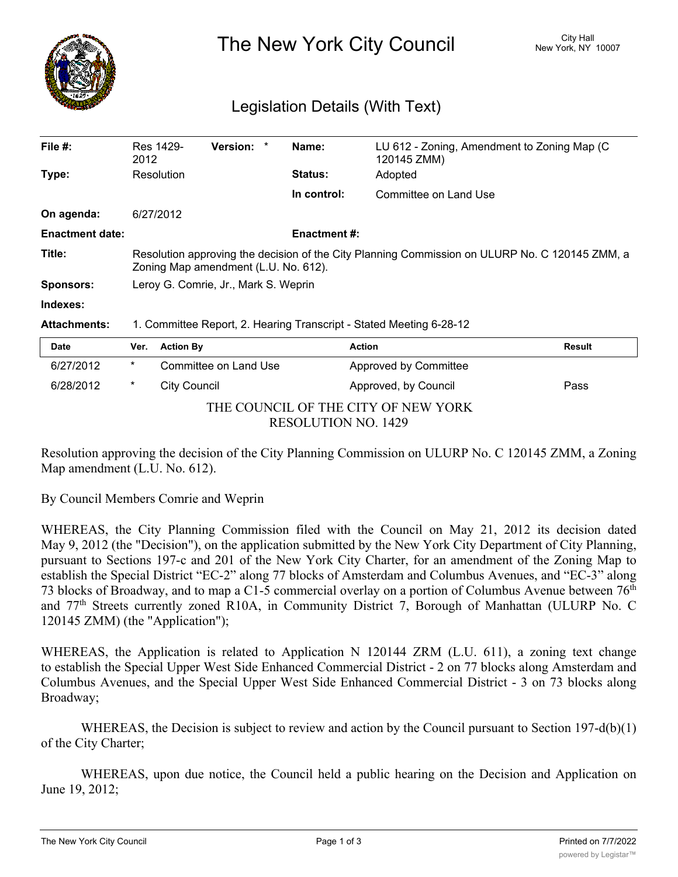

The New York City Council New York, NY 10007

## Legislation Details (With Text)

| File $#$ :             | Res 1429-<br>2012                                                                                                                      | <b>Version:</b>       | Name:          | LU 612 - Zoning, Amendment to Zoning Map (C)<br>120145 ZMM) |               |
|------------------------|----------------------------------------------------------------------------------------------------------------------------------------|-----------------------|----------------|-------------------------------------------------------------|---------------|
| Type:                  | Resolution                                                                                                                             |                       | <b>Status:</b> | Adopted                                                     |               |
|                        |                                                                                                                                        |                       | In control:    | Committee on Land Use                                       |               |
| On agenda:             | 6/27/2012                                                                                                                              |                       |                |                                                             |               |
| <b>Enactment date:</b> | Enactment #:                                                                                                                           |                       |                |                                                             |               |
| Title:                 | Resolution approving the decision of the City Planning Commission on ULURP No. C 120145 ZMM, a<br>Zoning Map amendment (L.U. No. 612). |                       |                |                                                             |               |
| <b>Sponsors:</b>       | Leroy G. Comrie, Jr., Mark S. Weprin                                                                                                   |                       |                |                                                             |               |
| Indexes:               |                                                                                                                                        |                       |                |                                                             |               |
| <b>Attachments:</b>    | 1. Committee Report, 2. Hearing Transcript - Stated Meeting 6-28-12                                                                    |                       |                |                                                             |               |
| <b>Date</b>            | Ver.                                                                                                                                   | <b>Action By</b>      |                | <b>Action</b>                                               | <b>Result</b> |
| 6/27/2012              | $\ast$                                                                                                                                 | Committee on Land Use |                | Approved by Committee                                       |               |
| 6/28/2012              | $\ast$                                                                                                                                 | City Council          |                | Approved, by Council                                        | Pass          |

THE COUNCIL OF THE CITY OF NEW YORK RESOLUTION NO. 1429

Resolution approving the decision of the City Planning Commission on ULURP No. C 120145 ZMM, a Zoning Map amendment (L.U. No. 612).

By Council Members Comrie and Weprin

WHEREAS, the City Planning Commission filed with the Council on May 21, 2012 its decision dated May 9, 2012 (the "Decision"), on the application submitted by the New York City Department of City Planning, pursuant to Sections 197-c and 201 of the New York City Charter, for an amendment of the Zoning Map to establish the Special District "EC-2" along 77 blocks of Amsterdam and Columbus Avenues, and "EC-3" along 73 blocks of Broadway, and to map a C1-5 commercial overlay on a portion of Columbus Avenue between  $76<sup>th</sup>$ and 77th Streets currently zoned R10A, in Community District 7, Borough of Manhattan (ULURP No. C 120145 ZMM) (the "Application");

WHEREAS, the Application is related to Application N 120144 ZRM (L.U. 611), a zoning text change to establish the Special Upper West Side Enhanced Commercial District - 2 on 77 blocks along Amsterdam and Columbus Avenues, and the Special Upper West Side Enhanced Commercial District - 3 on 73 blocks along Broadway;

WHEREAS, the Decision is subject to review and action by the Council pursuant to Section 197-d(b)(1) of the City Charter;

WHEREAS, upon due notice, the Council held a public hearing on the Decision and Application on June 19, 2012;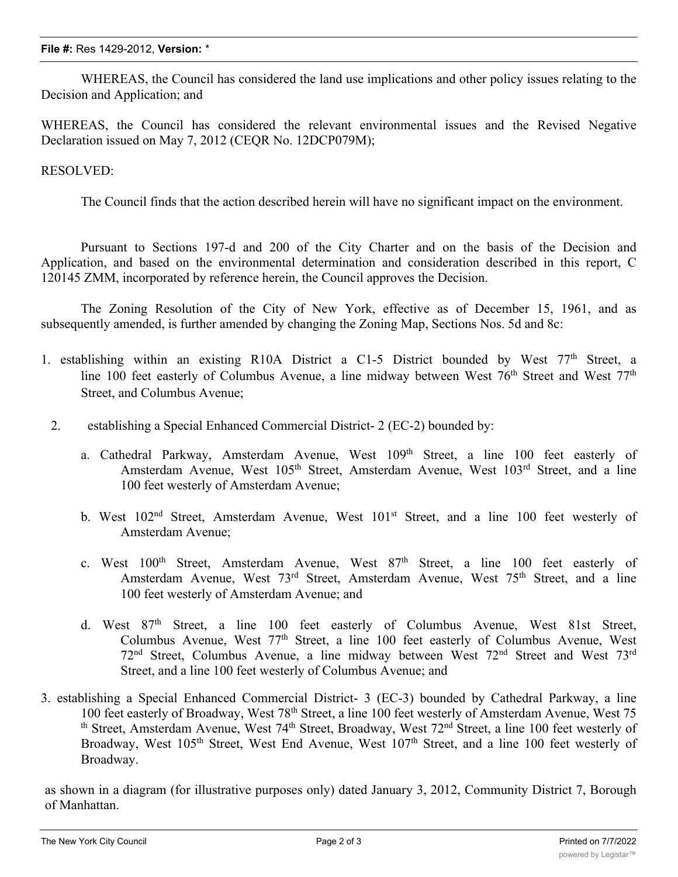## **File #:** Res 1429-2012, **Version:** \*

WHEREAS, the Council has considered the land use implications and other policy issues relating to the Decision and Application; and

WHEREAS, the Council has considered the relevant environmental issues and the Revised Negative Declaration issued on May 7, 2012 (CEQR No. 12DCP079M);

## RESOLVED:

The Council finds that the action described herein will have no significant impact on the environment.

Pursuant to Sections 197-d and 200 of the City Charter and on the basis of the Decision and Application, and based on the environmental determination and consideration described in this report, C 120145 ZMM, incorporated by reference herein, the Council approves the Decision.

The Zoning Resolution of the City of New York, effective as of December 15, 1961, and as subsequently amended, is further amended by changing the Zoning Map, Sections Nos. 5d and 8c:

- 1. establishing within an existing R10A District a C1-5 District bounded by West 77th Street, a line 100 feet easterly of Columbus Avenue, a line midway between West 76<sup>th</sup> Street and West 77<sup>th</sup> Street, and Columbus Avenue;
	- 2. establishing a Special Enhanced Commercial District- 2 (EC-2) bounded by:
		- a. Cathedral Parkway, Amsterdam Avenue, West 109<sup>th</sup> Street, a line 100 feet easterly of Amsterdam Avenue, West 105<sup>th</sup> Street, Amsterdam Avenue, West 103<sup>rd</sup> Street, and a line 100 feet westerly of Amsterdam Avenue;
		- b. West 102<sup>nd</sup> Street, Amsterdam Avenue, West 101<sup>st</sup> Street, and a line 100 feet westerly of Amsterdam Avenue;
		- c. West  $100<sup>th</sup>$  Street, Amsterdam Avenue, West  $87<sup>th</sup>$  Street, a line 100 feet easterly of Amsterdam Avenue, West 73<sup>rd</sup> Street, Amsterdam Avenue, West 75<sup>th</sup> Street, and a line 100 feet westerly of Amsterdam Avenue; and
		- d. West 87<sup>th</sup> Street, a line 100 feet easterly of Columbus Avenue, West 81st Street, Columbus Avenue, West 77th Street, a line 100 feet easterly of Columbus Avenue, West 72<sup>nd</sup> Street, Columbus Avenue, a line midway between West 72<sup>nd</sup> Street and West 73<sup>rd</sup> Street, and a line 100 feet westerly of Columbus Avenue; and
- 3. establishing a Special Enhanced Commercial District- 3 (EC-3) bounded by Cathedral Parkway, a line 100 feet easterly of Broadway, West 78th Street, a line 100 feet westerly of Amsterdam Avenue, West 75 th Street, Amsterdam Avenue, West 74<sup>th</sup> Street, Broadway, West 72<sup>nd</sup> Street, a line 100 feet westerly of Broadway, West 105<sup>th</sup> Street, West End Avenue, West 107<sup>th</sup> Street, and a line 100 feet westerly of Broadway.

as shown in a diagram (for illustrative purposes only) dated January 3, 2012, Community District 7, Borough of Manhattan.